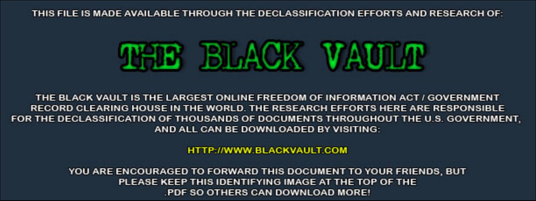THIS FILE IS MADE AVAILABLE THROUGH THE DECLASSIFICATION EFFORTS AND RESEARCH OF:



THE BLACK VAULT IS THE LARGEST ONLINE FREEDOM OF INFORMATION ACT / GOVERNMENT RECORD CLEARING HOUSE IN THE WORLD. THE RESEARCH EFFORTS HERE ARE RESPONSIBLE FOR THE DECLASSIFICATION OF THOUSANDS OF DOCUMENTS THROUGHOUT THE U.S. GOVERNMENT, AND ALL CAN BE DOWNLOADED BY VISITING:

**HTTP://WWW.BLACKVAULT.COM** 

YOU ARE ENCOURAGED TO FORWARD THIS DOCUMENT TO YOUR FRIENDS, BUT PLEASE KEEP THIS IDENTIFYING IMAGE AT THE TOP OF THE PDF SO OTHERS CAN DOWNLOAD MORE!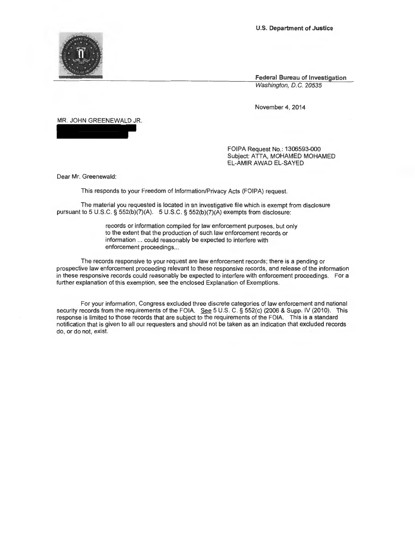**Federal Bureau of Investigation**  Washington, D.C. 20535

November 4, 2014

MR. JOHN GREENEWALD JR.

FOIPA Request No.: 1306593-000 Subject: ATTA, MOHAMED MOHAMED EL-AMIR AWAD EL-SAYED

Dear Mr. Greenewald:

This responds to your Freedom of Information/Privacy Acts (FOIPA) request.

The material you requested is located in an investigative file which is exempt from disclosure pursuant to 5 U.S.C. § 552(b)(7)(A). 5 U.S.C. § 552(b)(7)(A) exempts from disclosure:

> records or information compiled for law enforcement purposes, but only to the extent that the production of such law enforcement records or information ... could reasonably be expected to interfere with enforcement proceedings...

The records responsive to your request are law enforcement records; there is a pending or prospective law enforcement proceeding relevant to these responsive records, and release of the information in these responsive records could reasonably be expected to interfere with enforcement proceedings. For a further explanation of this exemption, see the enclosed Explanation of Exemptions.

For your information, Congress excluded three discrete categories of law enforcement and national security records from the requirements of the FOIA. See 5 U.S. C. § 552(c) (2006 & Supp. IV (2010). This response is limited to those records that are subject to the requirements of the FOIA. This is a standard notification that is given to all our requesters and should not be taken as an indication that excluded records do, or do not, exist.

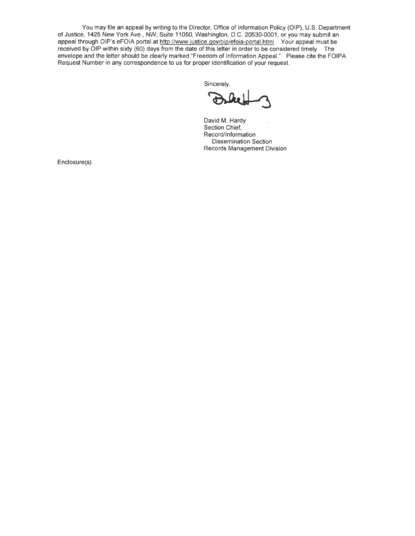You may file an appeal by writing to the Director, Office of Information Policy (OIP), U.S. Department of Justice, 1425 New York Ave., NW, Suite 11050, Washington, D.C. 20530-0001, or you may submit an appeal through OIP's eFOIA portal at http://www.justice.gov/oip/efoia-portal.html. Your appeal must be received by OIP within sixty (60) days from the date of this letter in order to be considered timely. The envelope and the letter should be clearly marked "Freedom of Information Appeal." Please cite the FOIPA Request Number in any correspondence to us for proper identification of your request.

Sincerely,

Fridentification of your request.

David M. Hardy Section Chief, Record/Information Dissemination Section Records Management Division

Enclosure(s)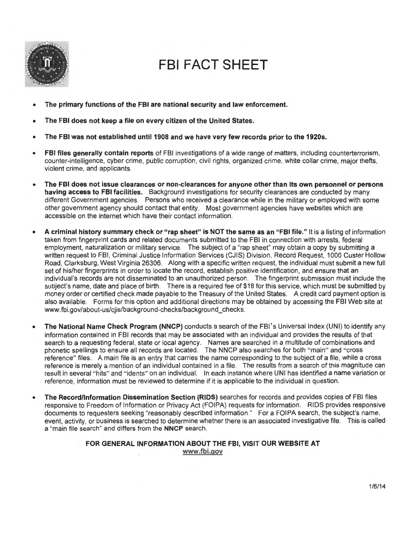

# **FBI FACT SHEET**

- **The primary functions of the FBI are national security and law enforcement.**
- **The FBI does not keep a file on every citizen of the United States.**
- The FBI was not established until 1908 and we have very few records prior to the 1920s.
- **FBI files generally contain reports** of FBI investigations of a wide range of matters, including counterterrorism, counter-intelligence, cyber crime, public corruption, civil rights, organized crime, white collar crime, major thefts, violent crime, and applicants.
- **The FBI does not issue clearances or non-clearances for anyone other than its own personnel or persons having access to FBI facilities.** Background investigations for security clearances are conducted by many different Government agencies. Persons who received a clearance while in the military or employed with some other government agency should contact that entity. Most government agencies have websites which are accessible on the internet which have their contact information.
- **A criminal history summary check or "rap sheet" is NOT the same as an "FBI file."** It is a listing of information taken from fingerprint cards and related documents submitted to the FBI in connection with arrests, federal employment, naturalization or military service. The subject of a "rap sheet" may obtain a copy by submitting a written request to FBI, Criminal Justice Information Services (CJIS) Division , Record Request, 1000 Custer Hollow Road, Clarksburg, West Virginia 26306. Along with a specific written request, the individual must submit a new full set of his/her fingerprints in order to locate the record, establish positive identification, and ensure that an individual's records are not disseminated to an unauthorized person. The fingerprint submission must include the subject's name, date and place of birth. There is a required fee of \$18 for this service, which must be submitted by money order or certified check made payable to the Treasury of the United States. A credit card payment option is also available. Forms for this option and additional directions may be obtained by accessing the FBI Web site at www.fbi.gov/about-us/cjis/background-checks/background\_checks.
- **The National Name Check Program (NNCP)** conducts a search of the FBI's Universal Index (UNI) to identify any information contained in FBI records that may be associated with an individual and provides the results of that search to a requesting federal, state or local agency. Names are searched in a multitude of combinations and phonetic spellings to ensure all records are located. The NNCP also searches for both "main" and "cross reference" files. A main file is an entry that carries the name corresponding to the subject of a file, while a cross reference is merely a mention of an individual contained in a file. The results from a search of this magnitude can result in several "hits" and "idents" on an individual. In each instance where UNI has identified a name variation or reference, information must be reviewed to determine if it is applicable to the individual in question.
- **The Record/Information Dissemination Section (RIDS)** searches for records and provides copies of FBI files responsive to Freedom of Information or Privacy Act (FOIPA) requests for information. RIDS provides responsive documents to requesters seeking "reasonably described information." For a FOIPA search, the subject's name, event, activity, or business is searched to determine whether there is an associated investigative file. This is called a "main file search" and differs from the **NNCP** search.

## **FOR GENERAL INFORMATION ABOUT THE FBI, VISIT OUR WEBSITE AT www.fbi.gov**